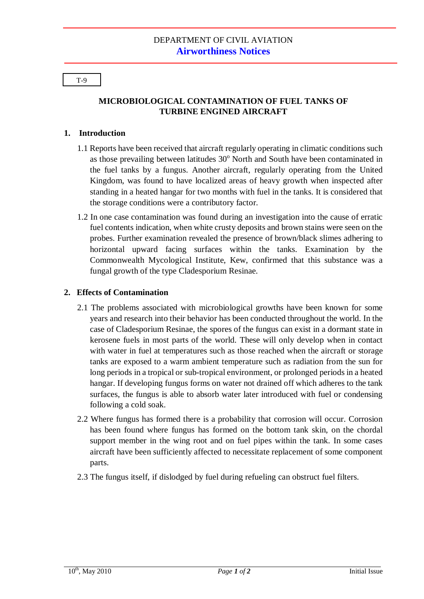T-9

# **MICROBIOLOGICAL CONTAMINATION OF FUEL TANKS OF TURBINE ENGINED AIRCRAFT**

### **1. Introduction**

- 1.1 Reports have been received that aircraft regularly operating in climatic conditions such as those prevailing between latitudes  $30^{\circ}$  North and South have been contaminated in the fuel tanks by a fungus. Another aircraft, regularly operating from the United Kingdom, was found to have localized areas of heavy growth when inspected after standing in a heated hangar for two months with fuel in the tanks. It is considered that the storage conditions were a contributory factor.
- 1.2 In one case contamination was found during an investigation into the cause of erratic fuel contents indication, when white crusty deposits and brown stains were seen on the probes. Further examination revealed the presence of brown/black slimes adhering to horizontal upward facing surfaces within the tanks. Examination by the Commonwealth Mycological Institute, Kew, confirmed that this substance was a fungal growth of the type Cladesporium Resinae.

## **2. Effects of Contamination**

- 2.1 The problems associated with microbiological growths have been known for some years and research into their behavior has been conducted throughout the world. In the case of Cladesporium Resinae, the spores of the fungus can exist in a dormant state in kerosene fuels in most parts of the world. These will only develop when in contact with water in fuel at temperatures such as those reached when the aircraft or storage tanks are exposed to a warm ambient temperature such as radiation from the sun for long periods in a tropical or sub-tropical environment, or prolonged periods in a heated hangar. If developing fungus forms on water not drained off which adheres to the tank surfaces, the fungus is able to absorb water later introduced with fuel or condensing following a cold soak.
- 2.2 Where fungus has formed there is a probability that corrosion will occur. Corrosion has been found where fungus has formed on the bottom tank skin, on the chordal support member in the wing root and on fuel pipes within the tank. In some cases aircraft have been sufficiently affected to necessitate replacement of some component parts.
- 2.3 The fungus itself, if dislodged by fuel during refueling can obstruct fuel filters.